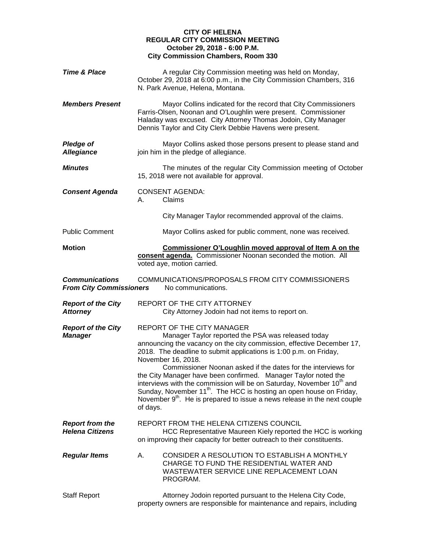## **CITY OF HELENA REGULAR CITY COMMISSION MEETING October 29, 2018 - 6:00 P.M. City Commission Chambers, Room 330**

| <b>Time &amp; Place</b>                                 | A regular City Commission meeting was held on Monday,<br>October 29, 2018 at 6:00 p.m., in the City Commission Chambers, 316<br>N. Park Avenue, Helena, Montana.                                                                                                                                                                                                                                                                                                                                                                                                       |
|---------------------------------------------------------|------------------------------------------------------------------------------------------------------------------------------------------------------------------------------------------------------------------------------------------------------------------------------------------------------------------------------------------------------------------------------------------------------------------------------------------------------------------------------------------------------------------------------------------------------------------------|
| <b>Members Present</b>                                  | Mayor Collins indicated for the record that City Commissioners<br>Farris-Olsen, Noonan and O'Loughlin were present. Commissioner<br>Haladay was excused. City Attorney Thomas Jodoin, City Manager<br>Dennis Taylor and City Clerk Debbie Havens were present.                                                                                                                                                                                                                                                                                                         |
| <b>Pledge of</b><br><b>Allegiance</b>                   | Mayor Collins asked those persons present to please stand and<br>join him in the pledge of allegiance.                                                                                                                                                                                                                                                                                                                                                                                                                                                                 |
| <b>Minutes</b>                                          | The minutes of the regular City Commission meeting of October<br>15, 2018 were not available for approval.                                                                                                                                                                                                                                                                                                                                                                                                                                                             |
| <b>Consent Agenda</b>                                   | <b>CONSENT AGENDA:</b><br>Claims<br>А.                                                                                                                                                                                                                                                                                                                                                                                                                                                                                                                                 |
|                                                         | City Manager Taylor recommended approval of the claims.                                                                                                                                                                                                                                                                                                                                                                                                                                                                                                                |
| <b>Public Comment</b>                                   | Mayor Collins asked for public comment, none was received.                                                                                                                                                                                                                                                                                                                                                                                                                                                                                                             |
| <b>Motion</b>                                           | Commissioner O'Loughlin moved approval of Item A on the<br>consent agenda. Commissioner Noonan seconded the motion. All<br>voted aye, motion carried.                                                                                                                                                                                                                                                                                                                                                                                                                  |
| <b>Communications</b><br><b>From City Commissioners</b> | COMMUNICATIONS/PROPOSALS FROM CITY COMMISSIONERS<br>No communications.                                                                                                                                                                                                                                                                                                                                                                                                                                                                                                 |
| <b>Report of the City</b><br><b>Attorney</b>            | REPORT OF THE CITY ATTORNEY<br>City Attorney Jodoin had not items to report on.                                                                                                                                                                                                                                                                                                                                                                                                                                                                                        |
| <b>Report of the City</b><br><b>Manager</b>             | <b>REPORT OF THE CITY MANAGER</b><br>Manager Taylor reported the PSA was released today<br>announcing the vacancy on the city commission, effective December 17,<br>2018. The deadline to submit applications is 1:00 p.m. on Friday,<br>November 16, 2018.<br>Commissioner Noonan asked if the dates for the interviews for<br>the City Manager have been confirmed. Manager Taylor noted the<br>interviews with the commission will be on Saturday, November 10 <sup>th</sup> and<br>Sunday, November 11 <sup>th</sup> . The HCC is hosting an open house on Friday, |
|                                                         | November 9 <sup>th</sup> . He is prepared to issue a news release in the next couple<br>of days.                                                                                                                                                                                                                                                                                                                                                                                                                                                                       |
| <b>Report from the</b><br><b>Helena Citizens</b>        | REPORT FROM THE HELENA CITIZENS COUNCIL<br>HCC Representative Maureen Kiely reported the HCC is working<br>on improving their capacity for better outreach to their constituents.                                                                                                                                                                                                                                                                                                                                                                                      |
| <b>Regular Items</b>                                    | CONSIDER A RESOLUTION TO ESTABLISH A MONTHLY<br>А.<br>CHARGE TO FUND THE RESIDENTIAL WATER AND<br>WASTEWATER SERVICE LINE REPLACEMENT LOAN<br>PROGRAM.                                                                                                                                                                                                                                                                                                                                                                                                                 |
| <b>Staff Report</b>                                     | Attorney Jodoin reported pursuant to the Helena City Code,<br>property owners are responsible for maintenance and repairs, including                                                                                                                                                                                                                                                                                                                                                                                                                                   |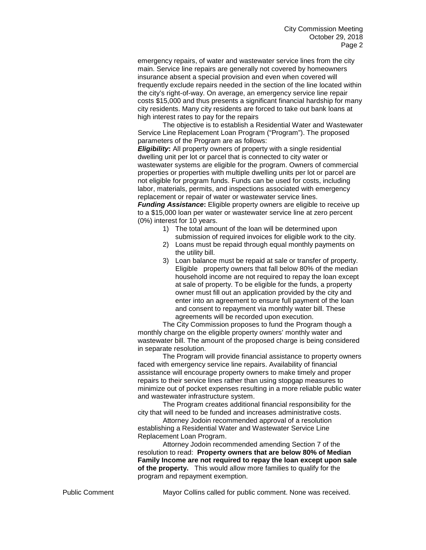emergency repairs, of water and wastewater service lines from the city main. Service line repairs are generally not covered by homeowners insurance absent a special provision and even when covered will frequently exclude repairs needed in the section of the line located within the city's right-of-way. On average, an emergency service line repair costs \$15,000 and thus presents a significant financial hardship for many city residents. Many city residents are forced to take out bank loans at high interest rates to pay for the repairs

The objective is to establish a Residential Water and Wastewater Service Line Replacement Loan Program ("Program"). The proposed parameters of the Program are as follows:

*Eligibility:* All property owners of property with a single residential dwelling unit per lot or parcel that is connected to city water or wastewater systems are eligible for the program. Owners of commercial properties or properties with multiple dwelling units per lot or parcel are not eligible for program funds. Funds can be used for costs, including labor, materials, permits, and inspections associated with emergency replacement or repair of water or wastewater service lines.

*Funding Assistance*: Eligible property owners are eligible to receive up to a \$15,000 loan per water or wastewater service line at zero percent (0%) interest for 10 years.

- 1) The total amount of the loan will be determined upon submission of required invoices for eligible work to the city.
- 2) Loans must be repaid through equal monthly payments on the utility bill.
- 3) Loan balance must be repaid at sale or transfer of property. Eligible property owners that fall below 80% of the median household income are not required to repay the loan except at sale of property. To be eligible for the funds, a property owner must fill out an application provided by the city and enter into an agreement to ensure full payment of the loan and consent to repayment via monthly water bill. These agreements will be recorded upon execution.

The City Commission proposes to fund the Program though a monthly charge on the eligible property owners' monthly water and wastewater bill. The amount of the proposed charge is being considered in separate resolution.

The Program will provide financial assistance to property owners faced with emergency service line repairs. Availability of financial assistance will encourage property owners to make timely and proper repairs to their service lines rather than using stopgap measures to minimize out of pocket expenses resulting in a more reliable public water and wastewater infrastructure system.

The Program creates additional financial responsibility for the city that will need to be funded and increases administrative costs.

Attorney Jodoin recommended approval of a resolution establishing a Residential Water and Wastewater Service Line Replacement Loan Program.

Attorney Jodoin recommended amending Section 7 of the resolution to read: **Property owners that are below 80% of Median Family Income are not required to repay the loan except upon sale of the property.** This would allow more families to qualify for the program and repayment exemption.

Public Comment Mayor Collins called for public comment. None was received.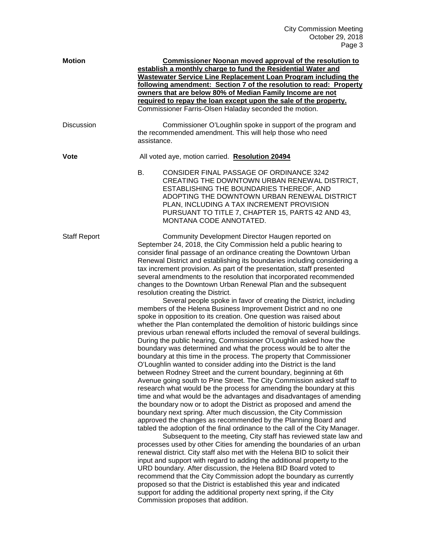| <b>Motion</b>       | Commissioner Noonan moved approval of the resolution to<br>establish a monthly charge to fund the Residential Water and<br><b>Wastewater Service Line Replacement Loan Program including the</b><br>following amendment: Section 7 of the resolution to read: Property<br>owners that are below 80% of Median Family Income are not<br>required to repay the loan except upon the sale of the property.<br>Commissioner Farris-Olsen Haladay seconded the motion.                                                                                                                                                                                                                                                                                                                                                                                                                                                                                                                                                                                                                                                                                                                                                                                                                                                                                                                                                                                                                                                                                                                                                                                                                                                                                                                                                                                                                                                                                                                                                                                                                                                                                                                                                                                                                                                                                                                                                   |
|---------------------|---------------------------------------------------------------------------------------------------------------------------------------------------------------------------------------------------------------------------------------------------------------------------------------------------------------------------------------------------------------------------------------------------------------------------------------------------------------------------------------------------------------------------------------------------------------------------------------------------------------------------------------------------------------------------------------------------------------------------------------------------------------------------------------------------------------------------------------------------------------------------------------------------------------------------------------------------------------------------------------------------------------------------------------------------------------------------------------------------------------------------------------------------------------------------------------------------------------------------------------------------------------------------------------------------------------------------------------------------------------------------------------------------------------------------------------------------------------------------------------------------------------------------------------------------------------------------------------------------------------------------------------------------------------------------------------------------------------------------------------------------------------------------------------------------------------------------------------------------------------------------------------------------------------------------------------------------------------------------------------------------------------------------------------------------------------------------------------------------------------------------------------------------------------------------------------------------------------------------------------------------------------------------------------------------------------------------------------------------------------------------------------------------------------------|
| Discussion          | Commissioner O'Loughlin spoke in support of the program and<br>the recommended amendment. This will help those who need<br>assistance.                                                                                                                                                                                                                                                                                                                                                                                                                                                                                                                                                                                                                                                                                                                                                                                                                                                                                                                                                                                                                                                                                                                                                                                                                                                                                                                                                                                                                                                                                                                                                                                                                                                                                                                                                                                                                                                                                                                                                                                                                                                                                                                                                                                                                                                                              |
| Vote                | All voted aye, motion carried. Resolution 20494                                                                                                                                                                                                                                                                                                                                                                                                                                                                                                                                                                                                                                                                                                                                                                                                                                                                                                                                                                                                                                                                                                                                                                                                                                                                                                                                                                                                                                                                                                                                                                                                                                                                                                                                                                                                                                                                                                                                                                                                                                                                                                                                                                                                                                                                                                                                                                     |
|                     | CONSIDER FINAL PASSAGE OF ORDINANCE 3242<br>В.<br>CREATING THE DOWNTOWN URBAN RENEWAL DISTRICT,<br>ESTABLISHING THE BOUNDARIES THEREOF, AND<br>ADOPTING THE DOWNTOWN URBAN RENEWAL DISTRICT<br>PLAN, INCLUDING A TAX INCREMENT PROVISION<br>PURSUANT TO TITLE 7, CHAPTER 15, PARTS 42 AND 43,<br>MONTANA CODE ANNOTATED.                                                                                                                                                                                                                                                                                                                                                                                                                                                                                                                                                                                                                                                                                                                                                                                                                                                                                                                                                                                                                                                                                                                                                                                                                                                                                                                                                                                                                                                                                                                                                                                                                                                                                                                                                                                                                                                                                                                                                                                                                                                                                            |
| <b>Staff Report</b> | Community Development Director Haugen reported on<br>September 24, 2018, the City Commission held a public hearing to<br>consider final passage of an ordinance creating the Downtown Urban<br>Renewal District and establishing its boundaries including considering a<br>tax increment provision. As part of the presentation, staff presented<br>several amendments to the resolution that incorporated recommended<br>changes to the Downtown Urban Renewal Plan and the subsequent<br>resolution creating the District.<br>Several people spoke in favor of creating the District, including<br>members of the Helena Business Improvement District and no one<br>spoke in opposition to its creation. One question was raised about<br>whether the Plan contemplated the demolition of historic buildings since<br>previous urban renewal efforts included the removal of several buildings.<br>During the public hearing, Commissioner O'Loughlin asked how the<br>boundary was determined and what the process would be to alter the<br>boundary at this time in the process. The property that Commissioner<br>O'Loughlin wanted to consider adding into the District is the land<br>between Rodney Street and the current boundary, beginning at 6th<br>Avenue going south to Pine Street. The City Commission asked staff to<br>research what would be the process for amending the boundary at this<br>time and what would be the advantages and disadvantages of amending<br>the boundary now or to adopt the District as proposed and amend the<br>boundary next spring. After much discussion, the City Commission<br>approved the changes as recommended by the Planning Board and<br>tabled the adoption of the final ordinance to the call of the City Manager.<br>Subsequent to the meeting, City staff has reviewed state law and<br>processes used by other Cities for amending the boundaries of an urban<br>renewal district. City staff also met with the Helena BID to solicit their<br>input and support with regard to adding the additional property to the<br>URD boundary. After discussion, the Helena BID Board voted to<br>recommend that the City Commission adopt the boundary as currently<br>proposed so that the District is established this year and indicated<br>support for adding the additional property next spring, if the City<br>Commission proposes that addition. |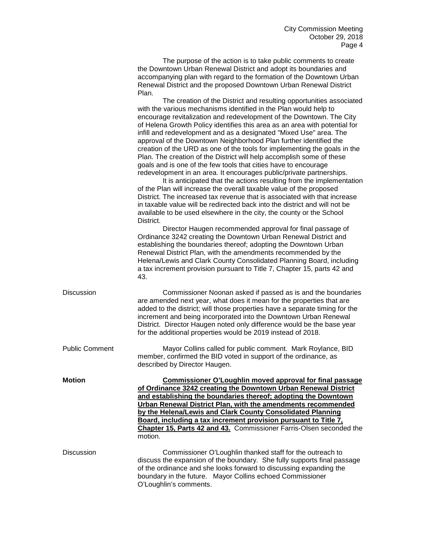|                       | The purpose of the action is to take public comments to create                                                                                                                                                                                                                                                                                                                                                                                                                                                                                                                                                                                                                                                                                                                                                                                                                                                                                                                                                                                                                                                                                                                                        |
|-----------------------|-------------------------------------------------------------------------------------------------------------------------------------------------------------------------------------------------------------------------------------------------------------------------------------------------------------------------------------------------------------------------------------------------------------------------------------------------------------------------------------------------------------------------------------------------------------------------------------------------------------------------------------------------------------------------------------------------------------------------------------------------------------------------------------------------------------------------------------------------------------------------------------------------------------------------------------------------------------------------------------------------------------------------------------------------------------------------------------------------------------------------------------------------------------------------------------------------------|
|                       | the Downtown Urban Renewal District and adopt its boundaries and<br>accompanying plan with regard to the formation of the Downtown Urban<br>Renewal District and the proposed Downtown Urban Renewal District<br>Plan.                                                                                                                                                                                                                                                                                                                                                                                                                                                                                                                                                                                                                                                                                                                                                                                                                                                                                                                                                                                |
|                       | The creation of the District and resulting opportunities associated<br>with the various mechanisms identified in the Plan would help to<br>encourage revitalization and redevelopment of the Downtown. The City<br>of Helena Growth Policy identifies this area as an area with potential for<br>infill and redevelopment and as a designated "Mixed Use" area. The<br>approval of the Downtown Neighborhood Plan further identified the<br>creation of the URD as one of the tools for implementing the goals in the<br>Plan. The creation of the District will help accomplish some of these<br>goals and is one of the few tools that cities have to encourage<br>redevelopment in an area. It encourages public/private partnerships.<br>It is anticipated that the actions resulting from the implementation<br>of the Plan will increase the overall taxable value of the proposed<br>District. The increased tax revenue that is associated with that increase<br>in taxable value will be redirected back into the district and will not be<br>available to be used elsewhere in the city, the county or the School<br>District.<br>Director Haugen recommended approval for final passage of |
|                       | Ordinance 3242 creating the Downtown Urban Renewal District and<br>establishing the boundaries thereof; adopting the Downtown Urban<br>Renewal District Plan, with the amendments recommended by the<br>Helena/Lewis and Clark County Consolidated Planning Board, including<br>a tax increment provision pursuant to Title 7, Chapter 15, parts 42 and<br>43.                                                                                                                                                                                                                                                                                                                                                                                                                                                                                                                                                                                                                                                                                                                                                                                                                                        |
| <b>Discussion</b>     | Commissioner Noonan asked if passed as is and the boundaries<br>are amended next year, what does it mean for the properties that are<br>added to the district; will those properties have a separate timing for the<br>increment and being incorporated into the Downtown Urban Renewal<br>District. Director Haugen noted only difference would be the base year<br>for the additional properties would be 2019 instead of 2018.                                                                                                                                                                                                                                                                                                                                                                                                                                                                                                                                                                                                                                                                                                                                                                     |
| <b>Public Comment</b> | Mayor Collins called for public comment. Mark Roylance, BID<br>member, confirmed the BID voted in support of the ordinance, as<br>described by Director Haugen.                                                                                                                                                                                                                                                                                                                                                                                                                                                                                                                                                                                                                                                                                                                                                                                                                                                                                                                                                                                                                                       |
| <b>Motion</b>         | <b>Commissioner O'Loughlin moved approval for final passage</b><br>of Ordinance 3242 creating the Downtown Urban Renewal District<br>and establishing the boundaries thereof; adopting the Downtown<br>Urban Renewal District Plan, with the amendments recommended<br>by the Helena/Lewis and Clark County Consolidated Planning<br>Board, including a tax increment provision pursuant to Title 7,<br>Chapter 15, Parts 42 and 43. Commissioner Farris-Olsen seconded the<br>motion.                                                                                                                                                                                                                                                                                                                                                                                                                                                                                                                                                                                                                                                                                                                |
| <b>Discussion</b>     | Commissioner O'Loughlin thanked staff for the outreach to<br>discuss the expansion of the boundary. She fully supports final passage<br>of the ordinance and she looks forward to discussing expanding the<br>boundary in the future. Mayor Collins echoed Commissioner<br>O'Loughlin's comments.                                                                                                                                                                                                                                                                                                                                                                                                                                                                                                                                                                                                                                                                                                                                                                                                                                                                                                     |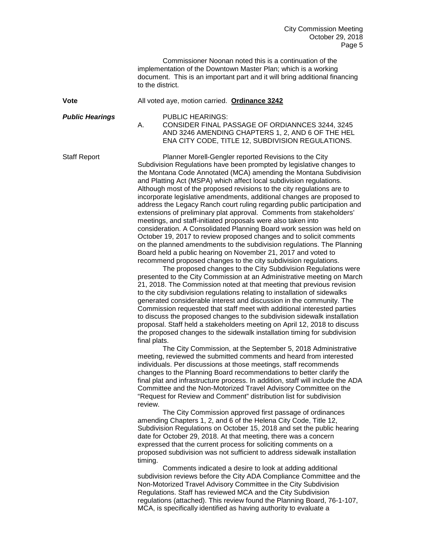Commissioner Noonan noted this is a continuation of the implementation of the Downtown Master Plan; which is a working document. This is an important part and it will bring additional financing to the district.

|                        | to the aistrict.                                                                                                                                                                                                                                                                                                                                                                                                                                                                                                                                                                                                                                                                                                                                                                                                                                                                                                                                                                                                                                                                                                                                                                                                                                                                                                                                                                                                                                                                                                                                                                                                                                                                                                                                                                                                                                                                                                                                                                                                                                                                                                                                                                                                                                                                                                                                                                                                                                                                                                                                                                                                                                                                                                                                                                                                                                                                                                                                                                                                                                                                                              |
|------------------------|---------------------------------------------------------------------------------------------------------------------------------------------------------------------------------------------------------------------------------------------------------------------------------------------------------------------------------------------------------------------------------------------------------------------------------------------------------------------------------------------------------------------------------------------------------------------------------------------------------------------------------------------------------------------------------------------------------------------------------------------------------------------------------------------------------------------------------------------------------------------------------------------------------------------------------------------------------------------------------------------------------------------------------------------------------------------------------------------------------------------------------------------------------------------------------------------------------------------------------------------------------------------------------------------------------------------------------------------------------------------------------------------------------------------------------------------------------------------------------------------------------------------------------------------------------------------------------------------------------------------------------------------------------------------------------------------------------------------------------------------------------------------------------------------------------------------------------------------------------------------------------------------------------------------------------------------------------------------------------------------------------------------------------------------------------------------------------------------------------------------------------------------------------------------------------------------------------------------------------------------------------------------------------------------------------------------------------------------------------------------------------------------------------------------------------------------------------------------------------------------------------------------------------------------------------------------------------------------------------------------------------------------------------------------------------------------------------------------------------------------------------------------------------------------------------------------------------------------------------------------------------------------------------------------------------------------------------------------------------------------------------------------------------------------------------------------------------------------------------------|
| <b>Vote</b>            | All voted aye, motion carried. Ordinance 3242                                                                                                                                                                                                                                                                                                                                                                                                                                                                                                                                                                                                                                                                                                                                                                                                                                                                                                                                                                                                                                                                                                                                                                                                                                                                                                                                                                                                                                                                                                                                                                                                                                                                                                                                                                                                                                                                                                                                                                                                                                                                                                                                                                                                                                                                                                                                                                                                                                                                                                                                                                                                                                                                                                                                                                                                                                                                                                                                                                                                                                                                 |
| <b>Public Hearings</b> | <b>PUBLIC HEARINGS:</b><br>CONSIDER FINAL PASSAGE OF ORDIANNCES 3244, 3245<br>А.<br>AND 3246 AMENDING CHAPTERS 1, 2, AND 6 OF THE HEL<br>ENA CITY CODE, TITLE 12, SUBDIVISION REGULATIONS.                                                                                                                                                                                                                                                                                                                                                                                                                                                                                                                                                                                                                                                                                                                                                                                                                                                                                                                                                                                                                                                                                                                                                                                                                                                                                                                                                                                                                                                                                                                                                                                                                                                                                                                                                                                                                                                                                                                                                                                                                                                                                                                                                                                                                                                                                                                                                                                                                                                                                                                                                                                                                                                                                                                                                                                                                                                                                                                    |
| <b>Staff Report</b>    | Planner Morell-Gengler reported Revisions to the City<br>Subdivision Regulations have been prompted by legislative changes to<br>the Montana Code Annotated (MCA) amending the Montana Subdivision<br>and Platting Act (MSPA) which affect local subdivision regulations.<br>Although most of the proposed revisions to the city regulations are to<br>incorporate legislative amendments, additional changes are proposed to<br>address the Legacy Ranch court ruling regarding public participation and<br>extensions of preliminary plat approval. Comments from stakeholders'<br>meetings, and staff-initiated proposals were also taken into<br>consideration. A Consolidated Planning Board work session was held on<br>October 19, 2017 to review proposed changes and to solicit comments<br>on the planned amendments to the subdivision regulations. The Planning<br>Board held a public hearing on November 21, 2017 and voted to<br>recommend proposed changes to the city subdivision regulations.<br>The proposed changes to the City Subdivision Regulations were<br>presented to the City Commission at an Administrative meeting on March<br>21, 2018. The Commission noted at that meeting that previous revision<br>to the city subdivision regulations relating to installation of sidewalks<br>generated considerable interest and discussion in the community. The<br>Commission requested that staff meet with additional interested parties<br>to discuss the proposed changes to the subdivision sidewalk installation<br>proposal. Staff held a stakeholders meeting on April 12, 2018 to discuss<br>the proposed changes to the sidewalk installation timing for subdivision<br>final plats.<br>The City Commission, at the September 5, 2018 Administrative<br>meeting, reviewed the submitted comments and heard from interested<br>individuals. Per discussions at those meetings, staff recommends<br>changes to the Planning Board recommendations to better clarify the<br>final plat and infrastructure process. In addition, staff will include the ADA<br>Committee and the Non-Motorized Travel Advisory Committee on the<br>"Request for Review and Comment" distribution list for subdivision<br>review.<br>The City Commission approved first passage of ordinances<br>amending Chapters 1, 2, and 6 of the Helena City Code, Title 12,<br>Subdivision Regulations on October 15, 2018 and set the public hearing<br>date for October 29, 2018. At that meeting, there was a concern<br>expressed that the current process for soliciting comments on a<br>proposed subdivision was not sufficient to address sidewalk installation<br>timing.<br>Comments indicated a desire to look at adding additional<br>subdivision reviews before the City ADA Compliance Committee and the<br>Non-Motorized Travel Advisory Committee in the City Subdivision<br>Regulations. Staff has reviewed MCA and the City Subdivision<br>regulations (attached). This review found the Planning Board, 76-1-107,<br>MCA, is specifically identified as having authority to evaluate a |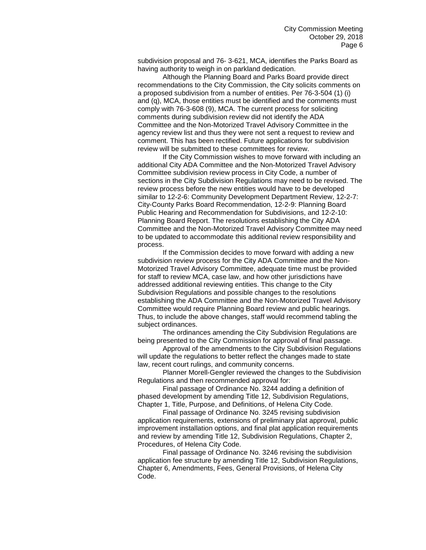subdivision proposal and 76- 3-621, MCA, identifies the Parks Board as having authority to weigh in on parkland dedication.

Although the Planning Board and Parks Board provide direct recommendations to the City Commission, the City solicits comments on a proposed subdivision from a number of entities. Per 76-3-504 (1) (i) and (q), MCA, those entities must be identified and the comments must comply with 76-3-608 (9), MCA. The current process for soliciting comments during subdivision review did not identify the ADA Committee and the Non-Motorized Travel Advisory Committee in the agency review list and thus they were not sent a request to review and comment. This has been rectified. Future applications for subdivision review will be submitted to these committees for review.

If the City Commission wishes to move forward with including an additional City ADA Committee and the Non-Motorized Travel Advisory Committee subdivision review process in City Code, a number of sections in the City Subdivision Regulations may need to be revised. The review process before the new entities would have to be developed similar to 12-2-6: Community Development Department Review, 12-2-7: City-County Parks Board Recommendation, 12-2-9: Planning Board Public Hearing and Recommendation for Subdivisions, and 12-2-10: Planning Board Report. The resolutions establishing the City ADA Committee and the Non-Motorized Travel Advisory Committee may need to be updated to accommodate this additional review responsibility and process.

If the Commission decides to move forward with adding a new subdivision review process for the City ADA Committee and the Non-Motorized Travel Advisory Committee, adequate time must be provided for staff to review MCA, case law, and how other jurisdictions have addressed additional reviewing entities. This change to the City Subdivision Regulations and possible changes to the resolutions establishing the ADA Committee and the Non-Motorized Travel Advisory Committee would require Planning Board review and public hearings. Thus, to include the above changes, staff would recommend tabling the subject ordinances.

The ordinances amending the City Subdivision Regulations are being presented to the City Commission for approval of final passage.

Approval of the amendments to the City Subdivision Regulations will update the regulations to better reflect the changes made to state law, recent court rulings, and community concerns.

Planner Morell-Gengler reviewed the changes to the Subdivision Regulations and then recommended approval for:

Final passage of Ordinance No. 3244 adding a definition of phased development by amending Title 12, Subdivision Regulations, Chapter 1, Title, Purpose, and Definitions, of Helena City Code.

Final passage of Ordinance No. 3245 revising subdivision application requirements, extensions of preliminary plat approval, public improvement installation options, and final plat application requirements and review by amending Title 12, Subdivision Regulations, Chapter 2, Procedures, of Helena City Code.

Final passage of Ordinance No. 3246 revising the subdivision application fee structure by amending Title 12, Subdivision Regulations, Chapter 6, Amendments, Fees, General Provisions, of Helena City Code.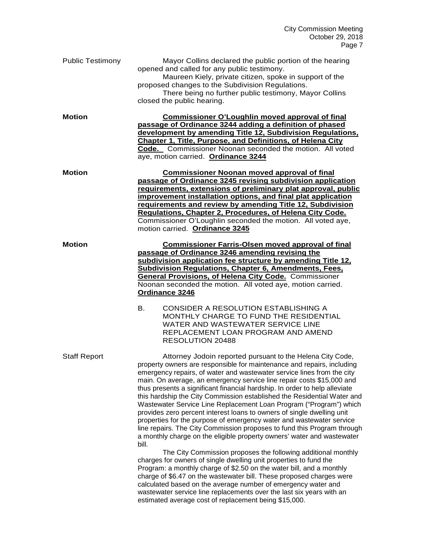| <b>Public Testimony</b> | Mayor Collins declared the public portion of the hearing<br>opened and called for any public testimony.<br>Maureen Kiely, private citizen, spoke in support of the<br>proposed changes to the Subdivision Regulations.<br>There being no further public testimony, Mayor Collins<br>closed the public hearing.                                                                                                                                                                                                                                                                                                                                                                                                                                                                                                                                                                                                                                                                                                                                                                                                               |
|-------------------------|------------------------------------------------------------------------------------------------------------------------------------------------------------------------------------------------------------------------------------------------------------------------------------------------------------------------------------------------------------------------------------------------------------------------------------------------------------------------------------------------------------------------------------------------------------------------------------------------------------------------------------------------------------------------------------------------------------------------------------------------------------------------------------------------------------------------------------------------------------------------------------------------------------------------------------------------------------------------------------------------------------------------------------------------------------------------------------------------------------------------------|
| <b>Motion</b>           | <b>Commissioner O'Loughlin moved approval of final</b><br>passage of Ordinance 3244 adding a definition of phased<br>development by amending Title 12, Subdivision Regulations,<br>Chapter 1, Title, Purpose, and Definitions, of Helena City<br>Code. Commissioner Noonan seconded the motion. All voted<br>aye, motion carried. Ordinance 3244                                                                                                                                                                                                                                                                                                                                                                                                                                                                                                                                                                                                                                                                                                                                                                             |
| <b>Motion</b>           | <b>Commissioner Noonan moved approval of final</b><br>passage of Ordinance 3245 revising subdivision application<br>requirements, extensions of preliminary plat approval, public<br>improvement installation options, and final plat application<br>requirements and review by amending Title 12, Subdivision<br>Regulations, Chapter 2, Procedures, of Helena City Code.<br>Commissioner O'Loughlin seconded the motion. All voted aye,<br>motion carried. Ordinance 3245                                                                                                                                                                                                                                                                                                                                                                                                                                                                                                                                                                                                                                                  |
| <b>Motion</b>           | <b>Commissioner Farris-Olsen moved approval of final</b><br>passage of Ordinance 3246 amending revising the<br>subdivision application fee structure by amending Title 12,<br><b>Subdivision Regulations, Chapter 6, Amendments, Fees,</b><br><b>General Provisions, of Helena City Code.</b> Commissioner<br>Noonan seconded the motion. All voted aye, motion carried.<br>Ordinance 3246<br>CONSIDER A RESOLUTION ESTABLISHING A<br>В.                                                                                                                                                                                                                                                                                                                                                                                                                                                                                                                                                                                                                                                                                     |
|                         | MONTHLY CHARGE TO FUND THE RESIDENTIAL<br>WATER AND WASTEWATER SERVICE LINE<br>REPLACEMENT LOAN PROGRAM AND AMEND<br>RESOLUTION 20488                                                                                                                                                                                                                                                                                                                                                                                                                                                                                                                                                                                                                                                                                                                                                                                                                                                                                                                                                                                        |
| <b>Staff Report</b>     | Attorney Jodoin reported pursuant to the Helena City Code,<br>property owners are responsible for maintenance and repairs, including<br>emergency repairs, of water and wastewater service lines from the city<br>main. On average, an emergency service line repair costs \$15,000 and<br>thus presents a significant financial hardship. In order to help alleviate<br>this hardship the City Commission established the Residential Water and<br>Wastewater Service Line Replacement Loan Program ("Program") which<br>provides zero percent interest loans to owners of single dwelling unit<br>properties for the purpose of emergency water and wastewater service<br>line repairs. The City Commission proposes to fund this Program through<br>a monthly charge on the eligible property owners' water and wastewater<br>bill.<br>The City Commission proposes the following additional monthly<br>charges for owners of single dwelling unit properties to fund the<br>Program: a monthly charge of \$2.50 on the water bill, and a monthly<br>charge of \$6.47 on the wastewater bill. These proposed charges were |
|                         | calculated based on the average number of emergency water and<br>wastewater service line replacements over the last six years with an<br>estimated average cost of replacement being \$15,000.                                                                                                                                                                                                                                                                                                                                                                                                                                                                                                                                                                                                                                                                                                                                                                                                                                                                                                                               |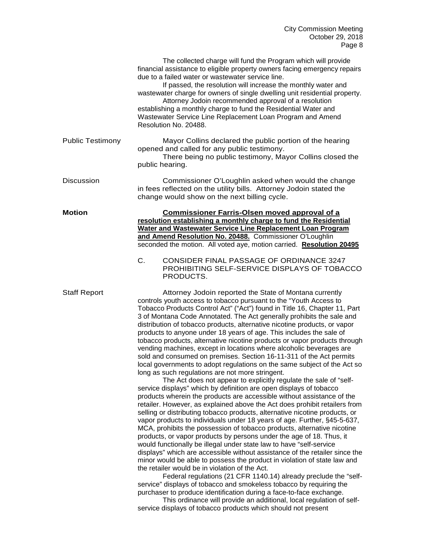|                         | The collected charge will fund the Program which will provide<br>financial assistance to eligible property owners facing emergency repairs<br>due to a failed water or wastewater service line.<br>If passed, the resolution will increase the monthly water and<br>wastewater charge for owners of single dwelling unit residential property.<br>Attorney Jodoin recommended approval of a resolution<br>establishing a monthly charge to fund the Residential Water and<br>Wastewater Service Line Replacement Loan Program and Amend<br>Resolution No. 20488.                                                                                                                                                                                                                                                                                                                                                                                                                                                                                                                                                                                                                                                                                                                                                                                                                                                                                                                                                                                                                                                                                                                                                                                                                                                                                                                                                                                                                                                                                                  |
|-------------------------|-------------------------------------------------------------------------------------------------------------------------------------------------------------------------------------------------------------------------------------------------------------------------------------------------------------------------------------------------------------------------------------------------------------------------------------------------------------------------------------------------------------------------------------------------------------------------------------------------------------------------------------------------------------------------------------------------------------------------------------------------------------------------------------------------------------------------------------------------------------------------------------------------------------------------------------------------------------------------------------------------------------------------------------------------------------------------------------------------------------------------------------------------------------------------------------------------------------------------------------------------------------------------------------------------------------------------------------------------------------------------------------------------------------------------------------------------------------------------------------------------------------------------------------------------------------------------------------------------------------------------------------------------------------------------------------------------------------------------------------------------------------------------------------------------------------------------------------------------------------------------------------------------------------------------------------------------------------------------------------------------------------------------------------------------------------------|
| <b>Public Testimony</b> | Mayor Collins declared the public portion of the hearing<br>opened and called for any public testimony.<br>There being no public testimony, Mayor Collins closed the<br>public hearing.                                                                                                                                                                                                                                                                                                                                                                                                                                                                                                                                                                                                                                                                                                                                                                                                                                                                                                                                                                                                                                                                                                                                                                                                                                                                                                                                                                                                                                                                                                                                                                                                                                                                                                                                                                                                                                                                           |
| <b>Discussion</b>       | Commissioner O'Loughlin asked when would the change<br>in fees reflected on the utility bills. Attorney Jodoin stated the<br>change would show on the next billing cycle.                                                                                                                                                                                                                                                                                                                                                                                                                                                                                                                                                                                                                                                                                                                                                                                                                                                                                                                                                                                                                                                                                                                                                                                                                                                                                                                                                                                                                                                                                                                                                                                                                                                                                                                                                                                                                                                                                         |
| <b>Motion</b>           | <b>Commissioner Farris-Olsen moved approval of a</b><br>resolution establishing a monthly charge to fund the Residential<br>Water and Wastewater Service Line Replacement Loan Program<br>and Amend Resolution No. 20488. Commissioner O'Loughlin<br>seconded the motion. All voted aye, motion carried. Resolution 20495<br>C.<br>CONSIDER FINAL PASSAGE OF ORDINANCE 3247<br>PROHIBITING SELF-SERVICE DISPLAYS OF TOBACCO<br>PRODUCTS.                                                                                                                                                                                                                                                                                                                                                                                                                                                                                                                                                                                                                                                                                                                                                                                                                                                                                                                                                                                                                                                                                                                                                                                                                                                                                                                                                                                                                                                                                                                                                                                                                          |
| <b>Staff Report</b>     | Attorney Jodoin reported the State of Montana currently<br>controls youth access to tobacco pursuant to the "Youth Access to<br>Tobacco Products Control Act" ("Act") found in Title 16, Chapter 11, Part<br>3 of Montana Code Annotated. The Act generally prohibits the sale and<br>distribution of tobacco products, alternative nicotine products, or vapor<br>products to anyone under 18 years of age. This includes the sale of<br>tobacco products, alternative nicotine products or vapor products through<br>vending machines, except in locations where alcoholic beverages are<br>sold and consumed on premises. Section 16-11-311 of the Act permits<br>local governments to adopt regulations on the same subject of the Act so<br>long as such regulations are not more stringent.<br>The Act does not appear to explicitly regulate the sale of "self-<br>service displays" which by definition are open displays of tobacco<br>products wherein the products are accessible without assistance of the<br>retailer. However, as explained above the Act does prohibit retailers from<br>selling or distributing tobacco products, alternative nicotine products, or<br>vapor products to individuals under 18 years of age. Further, §45-5-637,<br>MCA, prohibits the possession of tobacco products, alternative nicotine<br>products, or vapor products by persons under the age of 18. Thus, it<br>would functionally be illegal under state law to have "self-service<br>displays" which are accessible without assistance of the retailer since the<br>minor would be able to possess the product in violation of state law and<br>the retailer would be in violation of the Act.<br>Federal regulations (21 CFR 1140.14) already preclude the "self-<br>service" displays of tobacco and smokeless tobacco by requiring the<br>purchaser to produce identification during a face-to-face exchange.<br>This ordinance will provide an additional, local regulation of self-<br>service displays of tobacco products which should not present |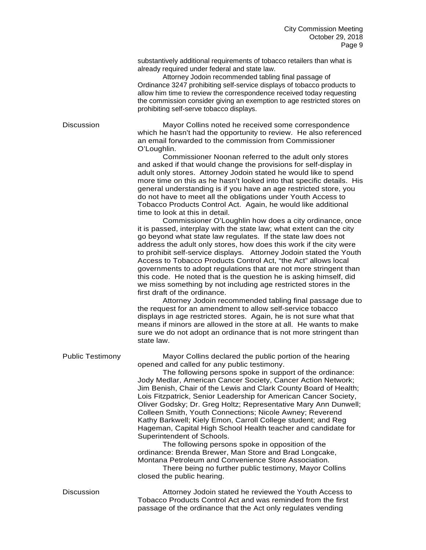substantively additional requirements of tobacco retailers than what is already required under federal and state law.

Attorney Jodoin recommended tabling final passage of Ordinance 3247 prohibiting self-service displays of tobacco products to allow him time to review the correspondence received today requesting the commission consider giving an exemption to age restricted stores on prohibiting self-serve tobacco displays.

Discussion Mayor Collins noted he received some correspondence which he hasn't had the opportunity to review. He also referenced an email forwarded to the commission from Commissioner O'Loughlin.

> Commissioner Noonan referred to the adult only stores and asked if that would change the provisions for self-display in adult only stores. Attorney Jodoin stated he would like to spend more time on this as he hasn't looked into that specific details. His general understanding is if you have an age restricted store, you do not have to meet all the obligations under Youth Access to Tobacco Products Control Act. Again, he would like additional time to look at this in detail.

> Commissioner O'Loughlin how does a city ordinance, once it is passed, interplay with the state law; what extent can the city go beyond what state law regulates. If the state law does not address the adult only stores, how does this work if the city were to prohibit self-service displays. Attorney Jodoin stated the Youth Access to Tobacco Products Control Act, "the Act" allows local governments to adopt regulations that are not more stringent than this code. He noted that is the question he is asking himself, did we miss something by not including age restricted stores in the first draft of the ordinance.

> Attorney Jodoin recommended tabling final passage due to the request for an amendment to allow self-service tobacco displays in age restricted stores. Again, he is not sure what that means if minors are allowed in the store at all. He wants to make sure we do not adopt an ordinance that is not more stringent than state law.

| <b>Public Testimony</b> | Mayor Collins declared the public portion of the hearing<br>opened and called for any public testimony.<br>The following persons spoke in support of the ordinance:<br>Jody Medlar, American Cancer Society, Cancer Action Network;<br>Jim Benish, Chair of the Lewis and Clark County Board of Health;<br>Lois Fitzpatrick, Senior Leadership for American Cancer Society,<br>Oliver Godsky; Dr. Greg Holtz; Representative Mary Ann Dunwell;<br>Colleen Smith, Youth Connections; Nicole Awney; Reverend<br>Kathy Barkwell; Kiely Emon, Carroll College student; and Reg<br>Hageman, Capital High School Health teacher and candidate for<br>Superintendent of Schools.<br>The following persons spoke in opposition of the<br>ordinance: Brenda Brewer, Man Store and Brad Longcake,<br>Montana Petroleum and Convenience Store Association.<br>There being no further public testimony, Mayor Collins<br>closed the public hearing. |
|-------------------------|-----------------------------------------------------------------------------------------------------------------------------------------------------------------------------------------------------------------------------------------------------------------------------------------------------------------------------------------------------------------------------------------------------------------------------------------------------------------------------------------------------------------------------------------------------------------------------------------------------------------------------------------------------------------------------------------------------------------------------------------------------------------------------------------------------------------------------------------------------------------------------------------------------------------------------------------|
| <b>Discussion</b>       | Attorney Jodoin stated he reviewed the Youth Access to<br>Tobacco Products Control Act and was reminded from the first<br>passage of the ordinance that the Act only regulates vending                                                                                                                                                                                                                                                                                                                                                                                                                                                                                                                                                                                                                                                                                                                                                  |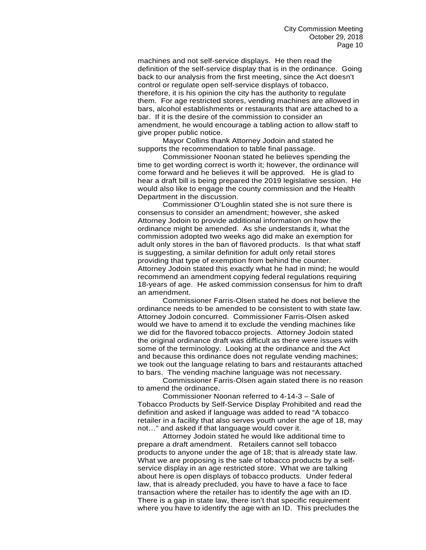machines and not self-service displays. He then read the definition of the self-service display that is in the ordinance. Going back to our analysis from the first meeting, since the Act doesn't control or regulate open self-service displays of tobacco, therefore, it is his opinion the city has the authority to regulate them. For age restricted stores, vending machines are allowed in bars, alcohol establishments or restaurants that are attached to a bar. If it is the desire of the commission to consider an amendment, he would encourage a tabling action to allow staff to give proper public notice.

Mayor Collins thank Attorney Jodoin and stated he supports the recommendation to table final passage.

Commissioner Noonan stated he believes spending the time to get wording correct is worth it; however, the ordinance will come forward and he believes it will be approved. He is glad to hear a draft bill is being prepared the 2019 legislative session. He would also like to engage the county commission and the Health Department in the discussion.

Commissioner O'Loughlin stated she is not sure there is consensus to consider an amendment; however, she asked Attorney Jodoin to provide additional information on how the ordinance might be amended. As she understands it, what the commission adopted two weeks ago did make an exemption for adult only stores in the ban of flavored products. Is that what staff is suggesting, a similar definition for adult only retail stores providing that type of exemption from behind the counter. Attorney Jodoin stated this exactly what he had in mind; he would recommend an amendment copying federal regulations requiring 18-years of age. He asked commission consensus for him to draft an amendment.

Commissioner Farris-Olsen stated he does not believe the ordinance needs to be amended to be consistent to with state law. Attorney Jodoin concurred. Commissioner Farris-Olsen asked would we have to amend it to exclude the vending machines like we did for the flavored tobacco projects. Attorney Jodoin stated the original ordinance draft was difficult as there were issues with some of the terminology. Looking at the ordinance and the Act and because this ordinance does not regulate vending machines; we took out the language relating to bars and restaurants attached to bars. The vending machine language was not necessary.

Commissioner Farris-Olsen again stated there is no reason to amend the ordinance.

Commissioner Noonan referred to 4-14-3 – Sale of Tobacco Products by Self-Service Display Prohibited and read the definition and asked if language was added to read "A tobacco retailer in a facility that also serves youth under the age of 18, may not…" and asked if that language would cover it.

Attorney Jodoin stated he would like additional time to prepare a draft amendment. Retailers cannot sell tobacco products to anyone under the age of 18; that is already state law. What we are proposing is the sale of tobacco products by a selfservice display in an age restricted store. What we are talking about here is open displays of tobacco products. Under federal law, that is already precluded, you have to have a face to face transaction where the retailer has to identify the age with an ID. There is a gap in state law, there isn't that specific requirement where you have to identify the age with an ID. This precludes the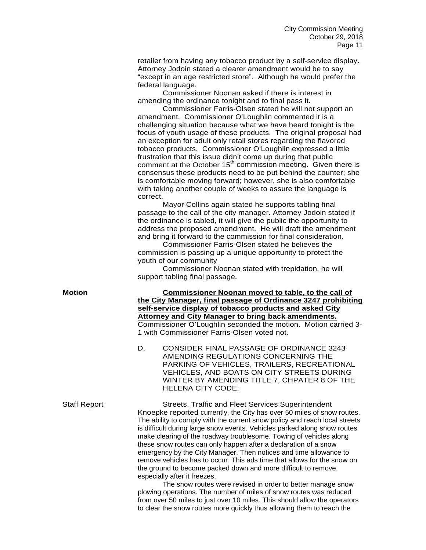retailer from having any tobacco product by a self-service display. Attorney Jodoin stated a clearer amendment would be to say "except in an age restricted store". Although he would prefer the federal language.

Commissioner Noonan asked if there is interest in amending the ordinance tonight and to final pass it.

Commissioner Farris-Olsen stated he will not support an amendment. Commissioner O'Loughlin commented it is a challenging situation because what we have heard tonight is the focus of youth usage of these products. The original proposal had an exception for adult only retail stores regarding the flavored tobacco products. Commissioner O'Loughlin expressed a little frustration that this issue didn't come up during that public comment at the October  $15<sup>th</sup>$  commission meeting. Given there is consensus these products need to be put behind the counter; she is comfortable moving forward; however, she is also comfortable with taking another couple of weeks to assure the language is correct.

Mayor Collins again stated he supports tabling final passage to the call of the city manager. Attorney Jodoin stated if the ordinance is tabled, it will give the public the opportunity to address the proposed amendment. He will draft the amendment and bring it forward to the commission for final consideration.

Commissioner Farris-Olsen stated he believes the commission is passing up a unique opportunity to protect the youth of our community

Commissioner Noonan stated with trepidation, he will support tabling final passage.

**Motion Commissioner Noonan moved to table, to the call of the City Manager, final passage of Ordinance 3247 prohibiting self-service display of tobacco products and asked City Attorney and City Manager to bring back amendments.** Commissioner O'Loughlin seconded the motion. Motion carried 3- 1 with Commissioner Farris-Olsen voted not.

> D. CONSIDER FINAL PASSAGE OF ORDINANCE 3243 AMENDING REGULATIONS CONCERNING THE PARKING OF VEHICLES, TRAILERS, RECREATIONAL VEHICLES, AND BOATS ON CITY STREETS DURING WINTER BY AMENDING TITLE 7, CHPATER 8 OF THE HELENA CITY CODE.

Staff Report Streets, Traffic and Fleet Services Superintendent Knoepke reported currently, the City has over 50 miles of snow routes. The ability to comply with the current snow policy and reach local streets is difficult during large snow events. Vehicles parked along snow routes make clearing of the roadway troublesome. Towing of vehicles along these snow routes can only happen after a declaration of a snow emergency by the City Manager. Then notices and time allowance to remove vehicles has to occur. This ads time that allows for the snow on the ground to become packed down and more difficult to remove, especially after it freezes.

> The snow routes were revised in order to better manage snow plowing operations. The number of miles of snow routes was reduced from over 50 miles to just over 10 miles. This should allow the operators to clear the snow routes more quickly thus allowing them to reach the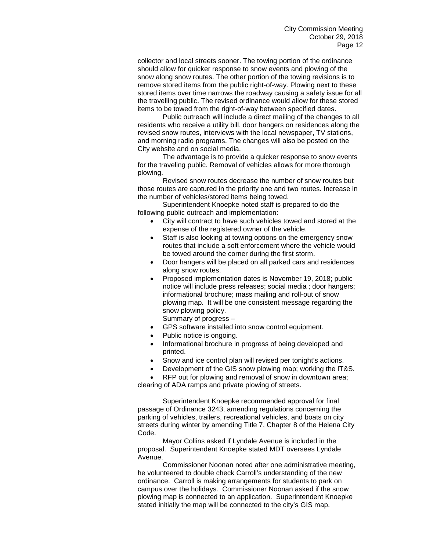collector and local streets sooner. The towing portion of the ordinance should allow for quicker response to snow events and plowing of the snow along snow routes. The other portion of the towing revisions is to remove stored items from the public right-of-way. Plowing next to these stored items over time narrows the roadway causing a safety issue for all the travelling public. The revised ordinance would allow for these stored items to be towed from the right-of-way between specified dates.

Public outreach will include a direct mailing of the changes to all residents who receive a utility bill, door hangers on residences along the revised snow routes, interviews with the local newspaper, TV stations, and morning radio programs. The changes will also be posted on the City website and on social media.

The advantage is to provide a quicker response to snow events for the traveling public. Removal of vehicles allows for more thorough plowing.

Revised snow routes decrease the number of snow routes but those routes are captured in the priority one and two routes. Increase in the number of vehicles/stored items being towed.

Superintendent Knoepke noted staff is prepared to do the following public outreach and implementation:

- City will contract to have such vehicles towed and stored at the expense of the registered owner of the vehicle.
- Staff is also looking at towing options on the emergency snow routes that include a soft enforcement where the vehicle would be towed around the corner during the first storm.
- Door hangers will be placed on all parked cars and residences along snow routes.
- Proposed implementation dates is November 19, 2018; public notice will include press releases; social media ; door hangers; informational brochure; mass mailing and roll-out of snow plowing map. It will be one consistent message regarding the snow plowing policy. Summary of progress –
- GPS software installed into snow control equipment.
- Public notice is ongoing.
- Informational brochure in progress of being developed and printed.
- Snow and ice control plan will revised per tonight's actions.
- Development of the GIS snow plowing map; working the IT&S.

RFP out for plowing and removal of snow in downtown area; clearing of ADA ramps and private plowing of streets.

Superintendent Knoepke recommended approval for final passage of Ordinance 3243, amending regulations concerning the parking of vehicles, trailers, recreational vehicles, and boats on city streets during winter by amending Title 7, Chapter 8 of the Helena City Code.

Mayor Collins asked if Lyndale Avenue is included in the proposal. Superintendent Knoepke stated MDT oversees Lyndale Avenue.

Commissioner Noonan noted after one administrative meeting, he volunteered to double check Carroll's understanding of the new ordinance. Carroll is making arrangements for students to park on campus over the holidays. Commissioner Noonan asked if the snow plowing map is connected to an application. Superintendent Knoepke stated initially the map will be connected to the city's GIS map.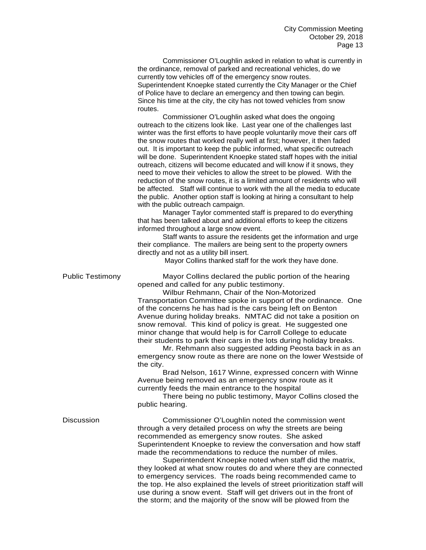Commissioner O'Loughlin asked in relation to what is currently in the ordinance, removal of parked and recreational vehicles, do we currently tow vehicles off of the emergency snow routes. Superintendent Knoepke stated currently the City Manager or the Chief of Police have to declare an emergency and then towing can begin. Since his time at the city, the city has not towed vehicles from snow routes.

Commissioner O'Loughlin asked what does the ongoing outreach to the citizens look like. Last year one of the challenges last winter was the first efforts to have people voluntarily move their cars off the snow routes that worked really well at first; however, it then faded out. It is important to keep the public informed, what specific outreach will be done. Superintendent Knoepke stated staff hopes with the initial outreach, citizens will become educated and will know if it snows, they need to move their vehicles to allow the street to be plowed. With the reduction of the snow routes, it is a limited amount of residents who will be affected. Staff will continue to work with the all the media to educate the public. Another option staff is looking at hiring a consultant to help with the public outreach campaign.

Manager Taylor commented staff is prepared to do everything that has been talked about and additional efforts to keep the citizens informed throughout a large snow event.

Staff wants to assure the residents get the information and urge their compliance. The mailers are being sent to the property owners directly and not as a utility bill insert.

Mayor Collins thanked staff for the work they have done.

Public Testimony Mayor Collins declared the public portion of the hearing opened and called for any public testimony.

Wilbur Rehmann, Chair of the Non-Motorized Transportation Committee spoke in support of the ordinance. One of the concerns he has had is the cars being left on Benton Avenue during holiday breaks. NMTAC did not take a position on snow removal. This kind of policy is great. He suggested one minor change that would help is for Carroll College to educate their students to park their cars in the lots during holiday breaks.

Mr. Rehmann also suggested adding Peosta back in as an emergency snow route as there are none on the lower Westside of the city.

Brad Nelson, 1617 Winne, expressed concern with Winne Avenue being removed as an emergency snow route as it currently feeds the main entrance to the hospital

There being no public testimony, Mayor Collins closed the public hearing.

Discussion Commissioner O'Loughlin noted the commission went through a very detailed process on why the streets are being recommended as emergency snow routes. She asked Superintendent Knoepke to review the conversation and how staff made the recommendations to reduce the number of miles.

Superintendent Knoepke noted when staff did the matrix, they looked at what snow routes do and where they are connected to emergency services. The roads being recommended came to the top. He also explained the levels of street prioritization staff will use during a snow event. Staff will get drivers out in the front of the storm; and the majority of the snow will be plowed from the